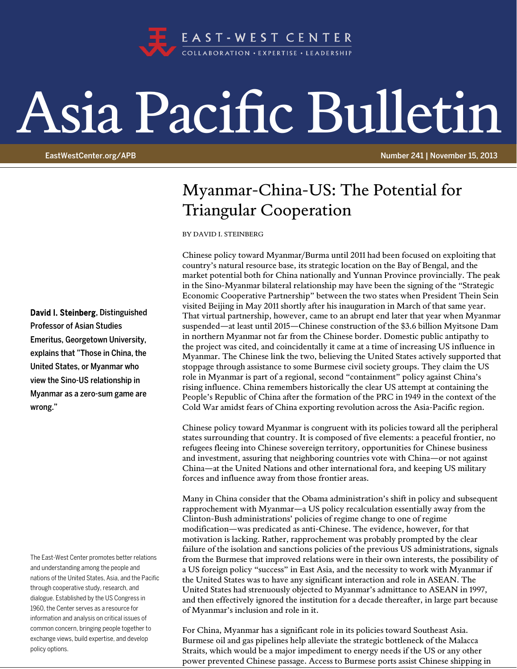

## Asia Pacific Bulletin

EastWestCenter.org/APB Number 241 | November 15, 2013

## Myanmar-China-US: The Potential for Triangular Cooperation

BY DAVID I. STEINBERG

Chinese policy toward Myanmar/Burma until 2011 had been focused on exploiting that country's natural resource base, its strategic location on the Bay of Bengal, and the market potential both for China nationally and Yunnan Province provincially. The peak in the Sino-Myanmar bilateral relationship may have been the signing of the "Strategic Economic Cooperative Partnership" between the two states when President Thein Sein visited Beijing in May 2011 shortly after his inauguration in March of that same year. That virtual partnership, however, came to an abrupt end later that year when Myanmar suspended—at least until 2015—Chinese construction of the \$3.6 billion Myitsone Dam in northern Myanmar not far from the Chinese border. Domestic public antipathy to the project was cited, and coincidentally it came at a time of increasing US influence in Myanmar. The Chinese link the two, believing the United States actively supported that stoppage through assistance to some Burmese civil society groups. They claim the US role in Myanmar is part of a regional, second "containment" policy against China's rising influence. China remembers historically the clear US attempt at containing the People's Republic of China after the formation of the PRC in 1949 in the context of the Cold War amidst fears of China exporting revolution across the Asia-Pacific region.

Chinese policy toward Myanmar is congruent with its policies toward all the peripheral states surrounding that country. It is composed of five elements: a peaceful frontier, no refugees fleeing into Chinese sovereign territory, opportunities for Chinese business and investment, assuring that neighboring countries vote with China—or not against China—at the United Nations and other international fora, and keeping US military forces and influence away from those frontier areas.

Many in China consider that the Obama administration's shift in policy and subsequent rapprochement with Myanmar—a US policy recalculation essentially away from the Clinton-Bush administrations' policies of regime change to one of regime modification—was predicated as anti-Chinese. The evidence, however, for that motivation is lacking. Rather, rapprochement was probably prompted by the clear failure of the isolation and sanctions policies of the previous US administrations, signals from the Burmese that improved relations were in their own interests, the possibility of a US foreign policy "success" in East Asia, and the necessity to work with Myanmar if the United States was to have any significant interaction and role in ASEAN. The United States had strenuously objected to Myanmar's admittance to ASEAN in 1997, and then effectively ignored the institution for a decade thereafter, in large part because of Myanmar's inclusion and role in it.

For China, Myanmar has a significant role in its policies toward Southeast Asia. Burmese oil and gas pipelines help alleviate the strategic bottleneck of the Malacca Straits, which would be a major impediment to energy needs if the US or any other power prevented Chinese passage. Access to Burmese ports assist Chinese shipping in

David I. Steinberg, Distinguished Professor of Asian Studies Emeritus, Georgetown University, explains that "Those in China, the United States, or Myanmar who view the Sino-US relationship in Myanmar as a zero-sum game are wrong."

The East-West Center promotes better relations and understanding among the people and nations of the United States, Asia, and the Pacific through cooperative study, research, and dialogue. Established by the US Congress in 1960, the Center serves as a resource for information and analysis on critical issues of common concern, bringing people together to exchange views, build expertise, and develop policy options.